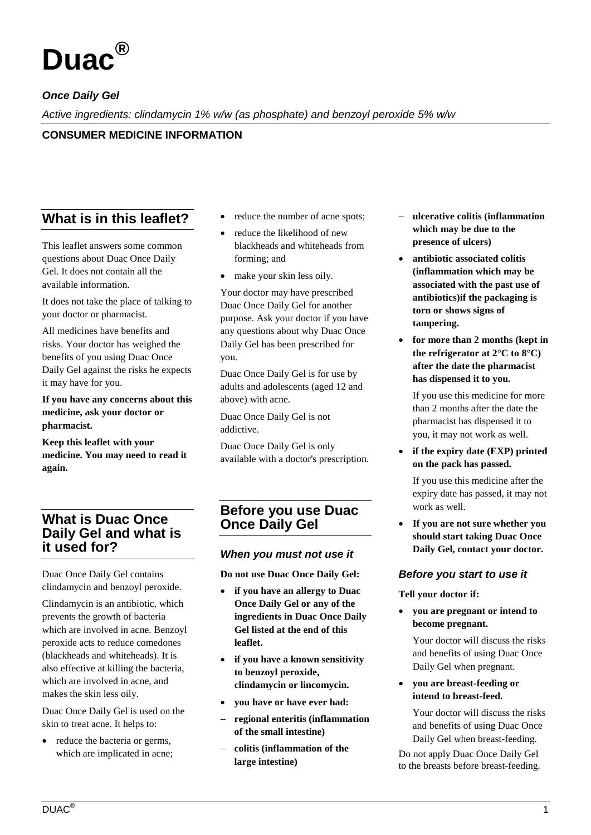

# *Once Daily Gel*

*Active ingredients: clindamycin 1% w/w (as phosphate) and benzoyl peroxide 5% w/w*

## **CONSUMER MEDICINE INFORMATION**

# **What is in this leaflet?**

This leaflet answers some common questions about Duac Once Daily Gel. It does not contain all the available information.

It does not take the place of talking to your doctor or pharmacist.

All medicines have benefits and risks. Your doctor has weighed the benefits of you using Duac Once Daily Gel against the risks he expects it may have for you.

#### **If you have any concerns about this medicine, ask your doctor or pharmacist.**

**Keep this leaflet with your medicine. You may need to read it again.**

# **What is Duac Once Daily Gel and what is it used for?**

Duac Once Daily Gel contains clindamycin and benzoyl peroxide.

Clindamycin is an antibiotic, which prevents the growth of bacteria which are involved in acne. Benzoyl peroxide acts to reduce comedones (blackheads and whiteheads). It is also effective at killing the bacteria, which are involved in acne, and makes the skin less oily.

Duac Once Daily Gel is used on the skin to treat acne. It helps to:

• reduce the bacteria or germs, which are implicated in acne;

- reduce the number of acne spots;
- reduce the likelihood of new blackheads and whiteheads from forming; and
- make your skin less oily.

Your doctor may have prescribed Duac Once Daily Gel for another purpose. Ask your doctor if you have any questions about why Duac Once Daily Gel has been prescribed for you.

Duac Once Daily Gel is for use by adults and adolescents (aged 12 and above) with acne.

Duac Once Daily Gel is not addictive.

Duac Once Daily Gel is only available with a doctor's prescription.

# **Before you use Duac Once Daily Gel**

### *When you must not use it*

**Do not use Duac Once Daily Gel:**

- **if you have an allergy to Duac Once Daily Gel or any of the ingredients in Duac Once Daily Gel listed at the end of this leaflet.**
- **if you have a known sensitivity to benzoyl peroxide, clindamycin or lincomycin.**
- **you have or have ever had:**
- − **regional enteritis (inflammation of the small intestine)**
- − **colitis (inflammation of the large intestine)**
- − **ulcerative colitis (inflammation which may be due to the presence of ulcers)**
- **antibiotic associated colitis (inflammation which may be associated with the past use of antibiotics)if the packaging is torn or shows signs of tampering.**
- **for more than 2 months (kept in the refrigerator at 2°C to 8°C) after the date the pharmacist has dispensed it to you.**

If you use this medicine for more than 2 months after the date the pharmacist has dispensed it to you, it may not work as well.

• **if the expiry date (EXP) printed on the pack has passed.**

If you use this medicine after the expiry date has passed, it may not work as well.

• **If you are not sure whether you should start taking Duac Once Daily Gel, contact your doctor.**

### *Before you start to use it*

**Tell your doctor if:**

• **you are pregnant or intend to become pregnant.**

Your doctor will discuss the risks and benefits of using Duac Once Daily Gel when pregnant.

• **you are breast-feeding or intend to breast-feed.**

Your doctor will discuss the risks and benefits of using Duac Once Daily Gel when breast-feeding.

Do not apply Duac Once Daily Gel to the breasts before breast-feeding.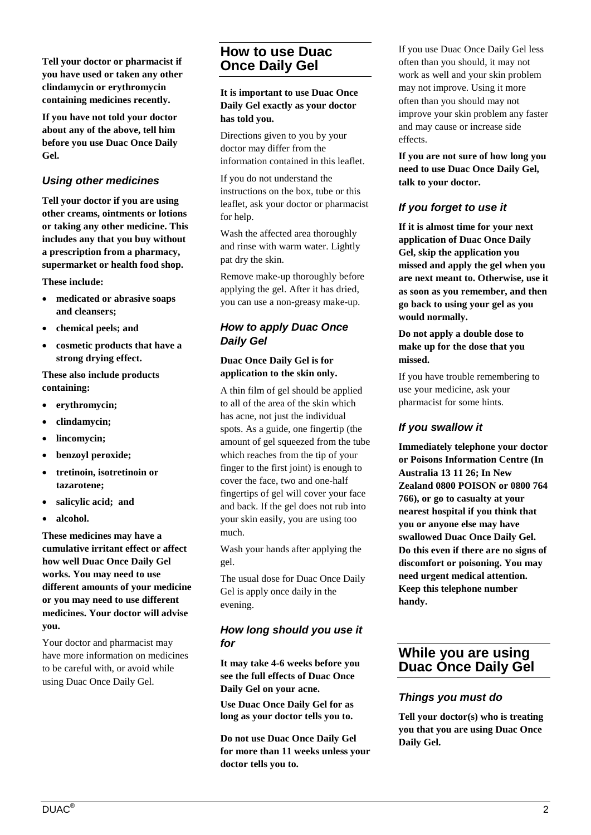**Tell your doctor or pharmacist if you have used or taken any other clindamycin or erythromycin containing medicines recently.**

**If you have not told your doctor about any of the above, tell him before you use Duac Once Daily Gel.**

### *Using other medicines*

**Tell your doctor if you are using other creams, ointments or lotions or taking any other medicine. This includes any that you buy without a prescription from a pharmacy, supermarket or health food shop.**

**These include:**

- **medicated or abrasive soaps and cleansers;**
- **chemical peels; and**
- **cosmetic products that have a strong drying effect.**

**These also include products containing:**

- **erythromycin;**
- **clindamycin;**
- **lincomycin;**
- **benzoyl peroxide;**
- **tretinoin, isotretinoin or tazarotene;**
- **salicylic acid; and**
- **alcohol.**

**These medicines may have a cumulative irritant effect or affect how well Duac Once Daily Gel works. You may need to use different amounts of your medicine or you may need to use different medicines. Your doctor will advise you.**

Your doctor and pharmacist may have more information on medicines to be careful with, or avoid while using Duac Once Daily Gel.

# **How to use Duac Once Daily Gel**

**It is important to use Duac Once Daily Gel exactly as your doctor has told you.**

Directions given to you by your doctor may differ from the information contained in this leaflet.

If you do not understand the instructions on the box, tube or this leaflet, ask your doctor or pharmacist for help.

Wash the affected area thoroughly and rinse with warm water. Lightly pat dry the skin.

Remove make-up thoroughly before applying the gel. After it has dried, you can use a non-greasy make-up.

## *How to apply Duac Once Daily Gel*

### **Duac Once Daily Gel is for application to the skin only.**

A thin film of gel should be applied to all of the area of the skin which has acne, not just the individual spots. As a guide, one fingertip (the amount of gel squeezed from the tube which reaches from the tip of your finger to the first joint) is enough to cover the face, two and one-half fingertips of gel will cover your face and back. If the gel does not rub into your skin easily, you are using too much.

Wash your hands after applying the gel.

The usual dose for Duac Once Daily Gel is apply once daily in the evening.

## *How long should you use it for*

**It may take 4-6 weeks before you see the full effects of Duac Once Daily Gel on your acne.**

**Use Duac Once Daily Gel for as long as your doctor tells you to.**

**Do not use Duac Once Daily Gel for more than 11 weeks unless your doctor tells you to.**

If you use Duac Once Daily Gel less often than you should, it may not work as well and your skin problem may not improve. Using it more often than you should may not improve your skin problem any faster and may cause or increase side effects.

**If you are not sure of how long you need to use Duac Once Daily Gel, talk to your doctor.**

### *If you forget to use it*

**If it is almost time for your next application of Duac Once Daily Gel, skip the application you missed and apply the gel when you are next meant to. Otherwise, use it as soon as you remember, and then go back to using your gel as you would normally.**

#### **Do not apply a double dose to make up for the dose that you missed.**

If you have trouble remembering to use your medicine, ask your pharmacist for some hints.

## *If you swallow it*

**Immediately telephone your doctor or Poisons Information Centre (In Australia 13 11 26; In New Zealand 0800 POISON or 0800 764 766), or go to casualty at your nearest hospital if you think that you or anyone else may have swallowed Duac Once Daily Gel. Do this even if there are no signs of discomfort or poisoning. You may need urgent medical attention. Keep this telephone number handy.**

# **While you are using Duac Once Daily Gel**

### *Things you must do*

**Tell your doctor(s) who is treating you that you are using Duac Once Daily Gel.**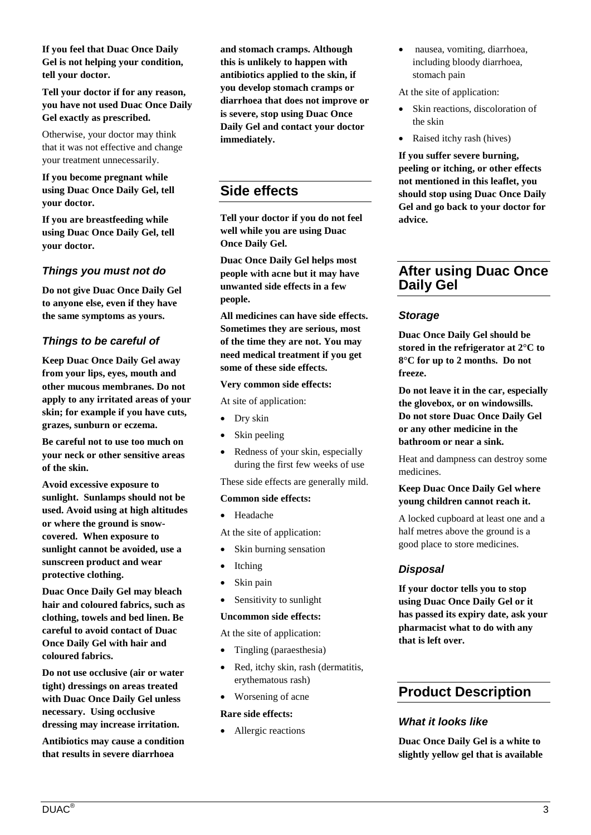**If you feel that Duac Once Daily Gel is not helping your condition, tell your doctor.**

**Tell your doctor if for any reason, you have not used Duac Once Daily Gel exactly as prescribed.**

Otherwise, your doctor may think that it was not effective and change your treatment unnecessarily.

#### **If you become pregnant while using Duac Once Daily Gel, tell your doctor.**

**If you are breastfeeding while using Duac Once Daily Gel, tell your doctor.**

### *Things you must not do*

**Do not give Duac Once Daily Gel to anyone else, even if they have the same symptoms as yours.**

### *Things to be careful of*

**Keep Duac Once Daily Gel away from your lips, eyes, mouth and other mucous membranes. Do not apply to any irritated areas of your skin; for example if you have cuts, grazes, sunburn or eczema.**

**Be careful not to use too much on your neck or other sensitive areas of the skin.**

**Avoid excessive exposure to sunlight. Sunlamps should not be used. Avoid using at high altitudes or where the ground is snowcovered. When exposure to sunlight cannot be avoided, use a sunscreen product and wear protective clothing.**

**Duac Once Daily Gel may bleach hair and coloured fabrics, such as clothing, towels and bed linen. Be careful to avoid contact of Duac Once Daily Gel with hair and coloured fabrics.**

**Do not use occlusive (air or water tight) dressings on areas treated with Duac Once Daily Gel unless necessary. Using occlusive dressing may increase irritation.** 

**Antibiotics may cause a condition that results in severe diarrhoea** 

**and stomach cramps. Although this is unlikely to happen with antibiotics applied to the skin, if you develop stomach cramps or diarrhoea that does not improve or is severe, stop using Duac Once Daily Gel and contact your doctor immediately.**

# **Side effects**

**Tell your doctor if you do not feel well while you are using Duac Once Daily Gel.**

**Duac Once Daily Gel helps most people with acne but it may have unwanted side effects in a few people.**

**All medicines can have side effects. Sometimes they are serious, most of the time they are not. You may need medical treatment if you get some of these side effects.**

#### **Very common side effects:**

At site of application:

- Dry skin
- Skin peeling
- Redness of your skin, especially during the first few weeks of use

These side effects are generally mild.

#### **Common side effects:**

• Headache

At the site of application:

- Skin burning sensation
- Itching
- Skin pain
- Sensitivity to sunlight

#### **Uncommon side effects:**

At the site of application:

- Tingling (paraesthesia)
- Red, itchy skin, rash (dermatitis, erythematous rash)
- Worsening of acne

#### **Rare side effects:**

• Allergic reactions

• nausea, vomiting, diarrhoea, including bloody diarrhoea, stomach pain

At the site of application:

- Skin reactions, discoloration of the skin
- Raised itchy rash (hives)

**If you suffer severe burning, peeling or itching, or other effects not mentioned in this leaflet, you should stop using Duac Once Daily Gel and go back to your doctor for advice.**

## **After using Duac Once Daily Gel**

#### *Storage*

**Duac Once Daily Gel should be stored in the refrigerator at 2°C to 8°C for up to 2 months. Do not freeze.**

**Do not leave it in the car, especially the glovebox, or on windowsills. Do not store Duac Once Daily Gel or any other medicine in the bathroom or near a sink.**

Heat and dampness can destroy some medicines.

#### **Keep Duac Once Daily Gel where young children cannot reach it.**

A locked cupboard at least one and a half metres above the ground is a good place to store medicines.

#### *Disposal*

**If your doctor tells you to stop using Duac Once Daily Gel or it has passed its expiry date, ask your pharmacist what to do with any that is left over.**

## **Product Description**

#### *What it looks like*

**Duac Once Daily Gel is a white to slightly yellow gel that is available**